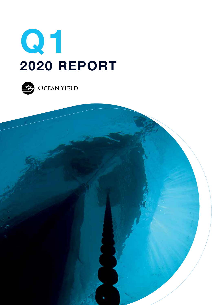



 $\rightarrow$  OCEAN YIELD

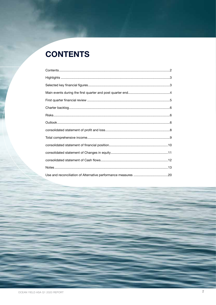# **CONTENTS**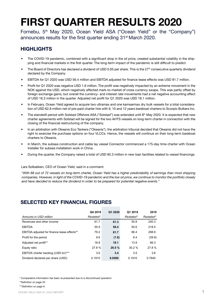# **FIRST QUARTER RESULTS 2020**

Fornebu, 5<sup>th</sup> May 2020, Ocean Yield ASA ("Ocean Yield" or the "Company") announces results for the first quarter ending 31<sup>st</sup> March 2020.

# **HIGHLIGHTS**

- The COVID-19 pandemic, combined with a significant drop in the oil price, created substantial volatility in the shipping and financial markets in the first quarter. The long-term impact of the pandemic is still difficult to predict.
- The Board of Directors has declared a dividend of USD 0.05 per share. This is the 27<sup>th</sup> consecutive quarterly dividend declared by the Company.
- EBITDA for Q1 2020 was USD 56.4 million and EBITDA adjusted for finance lease effects was USD 81.7 million.
- Profit for Q1 2020 was negative USD 1.6 million. The profit was negatively impacted by an extreme movement in the NOK against the USD, which negatively affected mark-to-market of cross currency swaps. This was partly offset by foreign exchange gains, but overall the currency- and interest rate movements had a net negative accounting effect of USD 16.3 million in the quarter. Adjusted net profit for Q1 2020 was USD 18.1 million.
- In February, Ocean Yield agreed to acquire two ultramax and one kamsarmax dry bulk vessels for a total consideration of USD 62.8 million net of pre-paid charter hire with 9, 10 and 12 years bareboat charters to Scorpio Bulkers Inc.
- The standstill period with Solstad Offshore ASA ("Solstad") was extended until 8th May 2020. It is expected that new charter agreements with Solstad will be signed for the two AHTS vessels on long-term charter in connection with the closing of the financial restructuring of the company.
- In an arbitration with Okeanis Eco Tankers ("Okeanis"), the arbitration tribunal decided that Okeanis did not have the right to exercise the purchase options on four VLCCs. Hence, the vessels will continue on their long-term bareboat charters to Okeanis.
- In March, the subsea construction and cable lay vessel Connector commenced a 175-day time charter with Ocean Installer for subsea installation work in China.
- During the quarter, the Company raised a total of USD 85.3 million in new loan facilities related to vessel financings.

Lars Solbakken, CEO of Ocean Yield, said in a comment:

"*With 68 out of 72 vessels on long-term charter, Ocean Yield has a higher predictability of earnings than most shipping companies. However, in light of the COVID-19 pandemic and the low oil price, we continue to monitor the portfolio closely and have decided to reduce the dividend in order to be prepared for potential negative events.*"

## **SELECTED KEY FINANCIAL FIGURES**

|                                             | Q4 2019   | Q1 2020 | Q1 2019   | 2019      |
|---------------------------------------------|-----------|---------|-----------|-----------|
| Amounts in USD million                      | Restated* |         | Restated* | Restated* |
| Revenues and other income                   | 61.7      | 61.3    | 55.8      | 240.3     |
| <b>EBITDA</b>                               | 55.9      | 56.4    | 50.6      | 218.4     |
| EBITDA adjusted for finance lease effects** | 79.2      | 81.7    | 66.4      | 298.9     |
| Profit for the period                       | 9.6       | (1.6)   | 8.4       | (39.9)    |
| Adjusted net profit**                       | 18.8      | 18.1    | 13.9      | 66.3      |
| Equity ratio                                | 27.8%     | 26.5%   | 30.2%     | 27.8%     |
| EBITDA charter backlog (USD bn)***          | 3.6       | 3.4     | 3.5       | 3.6       |
| Dividend declared per share (USD)           | 0.1910    | 0.0500  | 0.1910    | 0.7640    |

*\* Comparative information has been re-presented due to a discontinued operation*

*\*\*Definition on page 20*

*\*\*\*Definition on page 6*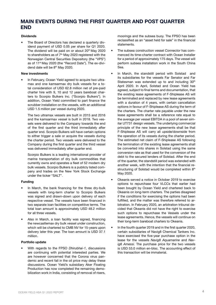# **MAIN EVENTS DURING THE FIRST QUARTER AND POST QUARTER END**

#### **Dividends**

• The Board of Directors has declared a quarterly dividend payment of USD 0.05 per share for Q1 2020. The dividend will be paid on or about 20<sup>th</sup> May 2020 to shareholders as of  $7<sup>th</sup>$  May 2020 registered with the Norwegian Central Securities Depository (the "VPS") as of 11th May 2020 (the "Record Date"). The ex-dividend date will be 8<sup>th</sup> May 2020.

#### **New investments**

• In February, Ocean Yield agreed to acquire two ultramax and one kamsarmax dry bulk vessels for a total consideration of USD 62.8 million net of pre-paid charter hire with 9, 10 and 12 years bareboat charters to Scorpio Bulkers Inc. ("Scorpio Bulkers"). In addition, Ocean Yield committed to part finance the scrubber installation on the vessels, with an additional USD 1.5 million per vessel during 2020.

The two ultramax vessels are built in 2015 and 2016 and the kamsarmax vessel is built in 2018. Two vessels were delivered to the Company towards the end of the first quarter and the third immediately after quarter end. Scorpio Bulkers will have certain options to either trigger a sale or acquire the vessels during the charter period. Two vessels were delivered to the Company during the first quarter and the third vessel was delivered immediately after quarter end.

Scorpio Bulkers is a leading international provider of marine transportation of dry bulk commodities that currently owns and operates a fleet of 52 modern dry bulk vessels. Scorpio Bulkers is a publicly listed company and trades on the New York Stock Exchange under the ticker "SALT".

#### **Funding**

- In March, the bank financing for the three dry-bulk vessels with long-term charter to Scorpio Bulkers was signed and drawn-down upon delivery of each respective vessel. The vessels have been financed in two separate loan facilities on competitive terms. The total loan amount is approximately USD 48.2 million for all three vessels.
- Also in March, a loan facility was signed, financing the newcastlemax dry bulk vessel under construction, which will be chartered to CMB NV for 15-years upon delivery later this year. The loan amount is USD 37.1 million.

#### **Portfolio update**

• With regards to the FPSO *Dhirubhai-1*, discussions are continuing with potential interested parties. We are however concerned that the Corona virus pandemic and recent fall in the oil price may delay these discussions. Ocean Yield's subsidiary Aker Floating Production has now completed the remaining demobilization work in India, consisting of removal of risers,

moorings and the subsea buoy. The FPSO has been reclassified as an "asset held for sale" in the financial statements.

- The subsea construction vessel *Connector* has commenced its time-charter contract with Ocean Installer for a period of approximately 175 days. The vessel will perform subsea installation work in the South China Sea.
- In March, the standstill period with Solstad and its subsidiaries for the vessels Far Senator and Far Statesman was extended up to and including 30<sup>th</sup> April 2020. In April, Solstad and Ocean Yield has agreed, subject to final terms and documentation, that the existing lease agreements of F-Shiplease AS will be terminated and replaced by new lease agreements with a duration of 4 years, with certain cancellation options in favour of F-Shiplease AS during the term of the charters. The charter rate payable under the new lease agreements shall be a reference rate equal to the average per vessel EBITDA in a pool of seven similar UT731 design vessels. The underlying commercial principle of the new lease agreements shall be that F-Shiplease AS will carry all upside/downside from the operation of its vessels during the charter period. The estimated net claim of F-Shiplease AS following the termination of the existing lease agreements shall be converted into shares in Solstad using the same conversion rate as that used for the conversion of the debt to the secured lenders of Solstad. After the end of the quarter, the standstill period was extended with another week, with the intention that the financial restructuring of Solstad would be completed within 8th May 2020.
- Okeanis served a notice in October 2019 to exercise options to repurchase four VLCCs that earlier had been bought by Ocean Yield and chartered back to Okeanis on long-term charters. The parties disagreed if the conditions for exercising the options had been fulfilled, and the matter was therefore referred to arbitration. In February 2020, an arbitration tribunal decided that Okeanis did not have the right to exercise such options to repurchase the Vessels under the lease agreements. Hence, the vessels will continue on their long-term bareboat charters to Okeanis.
- In the fourth quarter 2019 and in the first quarter 2020, certain subsidiaries of Navig8 Chemical Tankers Inc. have exercised the five-year purchase option in the lease for the vessels *Navig8 Aquamarine* and *Navig8 Amessi.* The purchase price for the two vessels is USD 53.0 million en-bloc. The accounting effect of this transaction will be immaterial.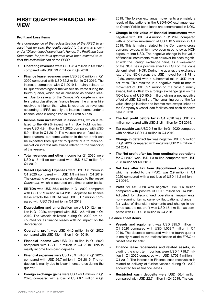### **FIRST QUARTER FINANCIAL RE-VIEW**

#### **Profit and Loss items**

*As a consequence of the reclassification of the FPSO to an asset held for sale, the results related to this unit is shown under "Discontinued operations". Hence, the Profit and Loss Statements for previous quarters have been restated to reflect the reclassification of the FPSO.* 

- **• Operating revenues** were USD 23.4 million in Q1 2020 compared with USD 23.7 million in Q4 2019.
- **• Finance lease revenues** were USD 33.0 million in Q1 2020 compared with USD 32.2 million in Q4 2019. The increase compared with Q4 2019 is mainly related to full quarter earnings for the vessels delivered during the fourth quarter, which are all classified as finance leases. Due to several of the Company's long-term charters being classified as finance leases, the charter hire received is higher than what is reported as revenues according to IFRS, as only the interest income under a finance lease is recognized in the Profit & Loss.
- **• Income from investment in associates**, which is related to the 49.9% investment in Box Holdings Inc., were USD 4.9 million in Q1 2020 compared with USD 5.9 million in Q4 2019. The vessels are on fixed bareboat charters, but some variation in the net profit can be expected from quarter to quarter due to mark-tomarket on interest rate swaps related to the financing of the vessels.
- **Total revenues and other income** for Q1 2020 were USD 61.3 million compared with USD 61.7 million for Q4 2019.
- **• Vessel Operating Expenses** were USD 1.8 million in Q1 2020 compared with USD 1.9 million in Q4 2019. The operating expenses are solely related to the vessel *Connector*, which is operated on a time-charter basis.
- **• EBITDA** was USD 56.4 million in Q1 2020 compared with USD 55.9 million in Q4 2019. Adjusted for finance lease effects the EBITDA was USD 81.7 million compared with USD 79.2 million in Q4 2019.
- **• Depreciation and amortization** were USD 12.4 million in Q1 2020, compared with USD 12.5 million in Q4 2019. The vessels delivered during Q1 2020 are accounted for as finance leases with no impact on the depreciation.
- **• Operating profit** was USD 44.0 million in Q1 2020 compared with USD 43.4 million in Q4 2019.
- **• Financial income** was USD 0.4 million in Q1 2020 compared with USD 0.7 million in Q4 2019. This is mainly income from cash deposits.
- **• Financial expenses** were USD 25.9 million in Q1 2020, compared with USD 26.7 million in Q4 2019. The reduction is mainly due to lower interest rates during the quarter.
- **• Foreign exchange gains** were USD 48.1 million in Q1 2020, compared with a loss of USD 9.1 million in Q4

2019. The foreign exchange movements are mainly a result of fluctuations in the USD/NOK exchange rate, as Ocean Yield's bond loans are denominated in NOK.

- **• Change in fair value of financial instruments** were negative with USD 64.4 million in Q1 2020 compared with a positive movement of USD 13.5 million in Q4 2019. This is mainly related to the Company's cross currency swaps, which have been used to swap NOK exposure into USD. The negative change in fair value of financial instruments must however be seen together with the Foreign exchange gains, as a weakening of the NOK has a positive effect in USD on the loans denominated in NOK. During the quarter, the exchange rate of the NOK versus the USD moved from 8.78 to 10.50, combined with a substantial fall in USD interest rates. This resulted in a negative mark-to-market movement of USD 59.1 million on the cross currency swaps, but is offset by a foreign exchange gain on the NOK loans of USD 50.9 million, giving a net negative effect of USD 8.2 million. The remaining part of the fair value change is related to interest rate swaps linked to the Company's vessel loan facilities and cash deposits held in NOK.
- **• The Net profit before tax** in Q1 2020 was USD 2.2 million compared with USD 21.8 million for Q4 2019.
- **• Tax payable** was USD 0.3 million in Q1 2020 compared with positive USD 1.4 million in Q4 2019.
- **• Change in deferred tax** was negative USD 0.5 million in Q1 2020, compared with negative USD 2.4 million in Q4 2019.
- **• The Net profit after tax from continuing operations**  for Q1 2020 was USD 1.3 million compared with USD 20.8 million for Q4 2019.
- **• Net loss after tax from discontinued operations**, which is related to the FPSO, was 2.9 million in Q1 2020 compared with a net loss of USD 11.2 million in Q4 2019.
- **• Profit** for Q1 2020 was negative USD 1.6 million compared with positive USD 9.6 million for Q4 2019. Adjusted for discontinued operations, impairments, non-recurring items, currency fluctuations, change in fair value of financial instruments and change in deferred tax, the net profit was USD 18.1 million as compared with USD 18.8 million in Q4 2019.

#### **Balance sheet items**

- **• Vessels and equipment** was USD 895.3 million in Q1 2020 compared with USD 1,053.7 million in Q4 2019. The decrease compared with the fourth quarter is mainly related to the reclassification of the FPSO to "asset held for sale".
- **• Finance lease receivables and related assets**, including the short term portion, were USD 1,718.7 million in Q1 2020 compared with USD 1,703.4 million in Q4 2019. The increase in Finance lease receivables is related to delivery of further vessels during Q1 2020 accounted for as finance leases.
- **• Restricted cash deposits** were USD 56.4 million compared with USD 22.7 million in Q4 2019. The cash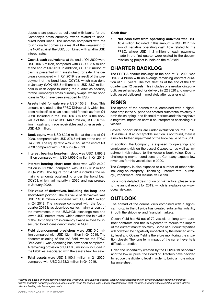deposits are posted as collateral with banks for the Company's cross currency swaps related to unsecured bond loans. The increase compared with the fourth quarter comes as a result of the weakening of the NOK against the USD, combined with a fall in USD interest rates.

- **• Cash & cash equivalents** at the end of Q1 2020 were USD 106.8 million, compared with USD 185.5 million at the end of Q4 2019. In addition, USD 5.6 million of cash is presented with assets held for sale. The decrease compared with Q4 2019 is a result of the prepayment of the bond issue OCY03, which was done in January (NOK 458.5 million) and USD 33.7 million paid in cash deposits during the quarter as security for the Company's cross currency swaps, where bond loans in NOK have been swapped to USD.
- **• Assets held for sale were** USD 156.3 million. This amount is related to the FPSO Dhirubhai-1, which has been reclassified as an asset held for sale as from Q1 2020. Included in the USD 156.3 million is the book value of the FPSO at USD 146.1 million, USD 5.6 million in cash and trade receivables and other assets of USD 4.5 million.
- **• Book equity** was USD 822.6 million at the end of Q1 2020, compared with USD 876.6 million at the end of Q4 2019. The equity ratio was 26.5% at the end of Q1 2020 compared with 27.8% in Q4 2019.
- **• Interest bearing long-term debt** was USD 1,893.9 million compared with USD 1,909.0 million in Q4 2019.
- **• Interest bearing short-term debt** was USD 240.9 million in Q1 2020 compared with USD 276.2 million in Q4 2019. The figure for Q4 2019 includes the remaining amounts outstanding under the bond loan OCY03, which had maturity in 2020, and was prepaid in January 2020.
- **• Fair value of derivatives, including the long- and short-term portion**: The fair value of derivatives was USD 110.6 million compared with USD 46.1 million in Q4 2019. The increase compared with the fourth quarter 2019 is as described earlier, mainly a result of the movements in the USD/NOK exchange rate and lower USD interest rates, which affects the fair value of the Company's cross currency swaps related to unsecured bond loans denominated in NOK.
- **• Field abandonment provisions** were USD 0.0 million compared with USD 12.4 million in Q4 2019. The decommissioning of the MA-field, where the FPSO *Dhirubhai*-1 was operating has now been completed. A remaining provision of USD 0.6 million is included in the liabilities associated with the assets held for sale.
- **• Total assets** were USD 3,100.1 million in Q1 2020, compared with USD 3,153.2 million in Q4 2019.

#### **Cash flow**

**• Net cash flow from operating activities** was USD 16.4 million. Included in this amount is USD 13.7 million of negative operating cash flow related to the FPSO, where USD 11.8 million of cash payments made in the first quarter were related to the decommissioning project in India on the MA field.

# **CHARTER BACKLOG**

The EBITDA charter backlog\* at the end of Q1 2020 was USD 3.4 billion with an average remaining contract duration of 10.3 years. The total fleet as of the end of the first quarter was 72 vessels. This includes one newbuilding drybulk vessel scheduled for delivery in Q2 2020 and one drybulk vessel delivered immediately after quarter end.

### **RISKS**

The spread of the corona virus, combined with a significant drop in the oil price has created substantial volatility in both the shipping- and financial markets and this may have a negative impact on certain counterparties chartering our vessels.

Several opportunities are under evaluation for the FPSO *Dhirubhai-1*. If an acceptable solution is not found, there is a risk for further impairment of the book value of this unit.

In addition, the Company is exposed to operating- and employment-risk on the vessel *Connector*, as well as impairment risk related to the vessel's book value. Due to challenging market conditions, the Company expects low revenues for this vessel also in 2020.

The Company is also exposed to a number of other risks, including counterparty-, financing-, interest rate-, currency-, impairment- and residual value risk.

For a more detailed description of risk factors, please refer to the annual report for 2019, which is available on www. oceanyield.no.

# **OUTLOOK**

The spread of the corona virus combined with a significant drop in the oil price has created substantial volatility in both the shipping- and financial markets.

Ocean Yield has 68 out of 72 vessels on long term bareboat contracts and this is expected to reduce the impact of the current market volatility. Some of our counterparties will however, be negatively impacted by the reduced activity level and Ocean Yield is therefore monitoring the situation closely. The long term impact of the current events is difficult to predict.

Given the uncertainty created by the COVID-19 pandemic and the low oil price, the Board of Directors have decided to reduce the dividend level in order to build a more robust balance sheet.

*<sup>\*</sup>Figures are based on management's estimates which may be subject to change. These include assumptions on certain purchase options in bareboat charter contracts not being exercised, adjustments made for finance lease effects, investments in joint ventures, currency effects and the forward interest rates for floating rate lease agreements.*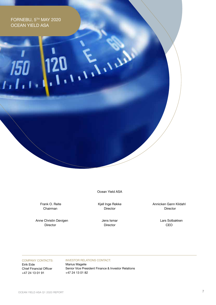FORNEBU, 5TH MAY 2020 OCEAN YIELD ASA

 $150$ 

Ocean Yield ASA

 $\mathcal{N}$ 

Frank O. Reite Chairman

 Anne Christin Døvigen Director

Kjell Inge Røkke Director

> Jens Ismar Director

Annicken Gann Kildahl Director

> Lars Solbakken CEO

COMPANY CONTACTS: Eirik Eide Chief Financial Officer +47 24 13 01 91

INVESTOR RELATIONS CONTACT: Marius Magelie Senior Vice President Finance & Investor Relations +47 24 13 01 82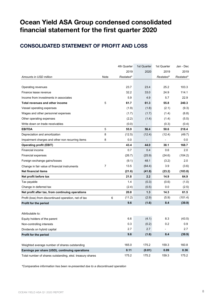# **Ocean Yield ASA Group condensed consolidated financial statement for the first quarter 2020**

# **CONSOLIDATED STATEMENT OF PROFIT AND LOSS**

|                                                           |                | 4th Quarter | 1st Quarter      | 1st Quarter              | Jan - Dec |
|-----------------------------------------------------------|----------------|-------------|------------------|--------------------------|-----------|
|                                                           |                | 2019        | 2020             | 2019                     | 2019      |
| Amounts in USD million                                    | Note           | Restated*   |                  | Restated*                | Restated* |
|                                                           |                |             |                  |                          |           |
| Operating revenues                                        |                | 23.7        | 23.4             | 25.2                     | 103.3     |
| Finance lease revenue                                     |                | 32.2        | 33.0             | 24.9                     | 114.1     |
| Income from investments in associates                     |                | 5.9         | 4.9              | 5.7                      | 22.9      |
| <b>Total revenues and other income</b>                    | 5              | 61.7        | 61.3             | 55.8                     | 240.3     |
| Vessel operating expenses                                 |                | (1.9)       | (1.8)            | (2.1)                    | (9.3)     |
| Wages and other personnel expenses                        |                | (1.7)       | (1.7)            | (1.4)                    | (6.8)     |
| Other operating expenses                                  |                | (2.2)       | (1.4)            | (1.4)                    | (5.5)     |
| Write down on trade receivables                           |                | (0.0)       |                  | (0.3)                    | (0.4)     |
| <b>EBITDA</b>                                             | 5              | 55.9        | 56.4             | 50.6                     | 218.4     |
| Depreciation and amortization                             | 8              | (12.5)      | (12.4)           | (12.4)                   | (49.7)    |
| Impairment charges and other non recurring items          | 8              | 0.0         |                  | $\overline{\phantom{a}}$ | 0.0       |
| <b>Operating profit (EBIT)</b>                            |                | 43.4        | 44.0             | 38.1                     | 168.7     |
| Financial income                                          |                | 0.7         | 0.4              | 0.6                      | 2.0       |
| Financial expenses                                        |                | (26.7)      | (25.9)           | (24.6)                   | (104.2)   |
| Foreign exchange gains/losses                             |                | (9.1)       | 48.1             | (3.2)                    | 2.0       |
| Change in fair value of financial instruments             | $\overline{7}$ | 13.5        | (64.4)           | 3.9                      | (3.6)     |
| <b>Net financial items</b>                                |                | (21.6)      | (41.8)           | (23.2)                   | (103.8)   |
| Net profit before tax                                     |                | 21.8        | $2.2\phantom{0}$ | 14.9                     | 64.9      |
| Tax payable                                               |                | 1.4         | (0.3)            | (0.6)                    | (1.0)     |
| Change in deferred tax                                    |                | (2.4)       | (0.5)            | 0.0                      | (2.5)     |
| Net profit after tax, from continuing operations          |                | 20.8        | 1.3              | 14.3                     | 61.5      |
| Profit (loss) from discontinued operation, net of tax     |                | (11.2)<br>6 | (2.9)            | (5.9)                    | (101.4)   |
| Profit for the period                                     |                | 9.6         | (1.6)            | 8.4                      | (39.9)    |
|                                                           |                |             |                  |                          |           |
| Attributable to:                                          |                |             |                  |                          |           |
| Equity holders of the parent                              |                | 6.6         | (4.1)            | 8.3                      | (43.5)    |
| Non-controlling interests                                 |                | 0.3         | (0.2)            | 0.2                      | 0.9       |
| Dividends on hybrid capital                               |                | 2.7         | 2.7              |                          | 2.7       |
| Profit for the period                                     |                | 9.6         | (1.6)            | 8.4                      | (39.9)    |
|                                                           |                |             |                  |                          |           |
| Weighted average number of shares outstanding             |                | 165.0       | 175.2            | 159.3                    | 160.8     |
| Earnings per share (USD), continuing operations           |                | 0.11        | (0.01)           | 0.09                     | 0.36      |
| Total number of shares outstanding, eksl. treasury shares |                | 175.2       | 175.2            | 159.3                    | 175.2     |

*\*Comparative information has been re-presented due to a discontinued operation*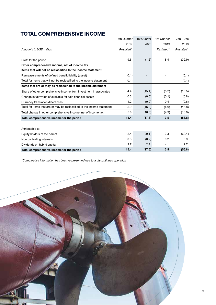# **TOTAL COMPREHENSIVE INCOME**

|                                                                         | 4th Quarter | 1st Quarter | 1st Quarter | Jan - Dec |
|-------------------------------------------------------------------------|-------------|-------------|-------------|-----------|
|                                                                         | 2019        | 2020        | 2019        | 2019      |
| Amounts in USD million                                                  | Restated*   |             | Restated*   | Restated* |
|                                                                         |             |             |             |           |
| Profit for the period                                                   | 9.6         | (1.6)       | 8.4         | (39.9)    |
| Other comprehensive income, net of income tax                           |             |             |             |           |
| Items that will not be reclassified to the income statement             |             |             |             |           |
| Remeasurements of defined benefit liability (asset)                     | (0.1)       |             |             | (0.1)     |
| Total for items that will not be reclassified to the income statement   | (0.1)       |             |             | (0.1)     |
| Items that are or may be reclassified to the income statement           |             |             |             |           |
| Share of other comprehensive income from investment in associates       | 4.4         | (15.4)      | (5.2)       | (15.5)    |
| Change in fair value of available for sale financial assets             | 0.3         | (0.5)       | (0.1)       | (0.8)     |
| Currency translation differences                                        | 1.2         | (0.0)       | 0.4         | (0.6)     |
| Total for items that are or may be reclassified to the income statement | 5.9         | (16.0)      | (4.9)       | (16.8)    |
| Total change in other comprehensive income, net of income tax           | 5.8         | (16.0)      | (4.9)       | (16.9)    |
| Total comprehensive income for the period                               | 15.4        | (17.6)      | 3.5         | (56.8)    |
|                                                                         |             |             |             |           |
| Attributable to:                                                        |             |             |             |           |
| Equity holders of the parent                                            | 12.4        | (20.1)      | 3.3         | (60.4)    |
| Non controlling interests                                               | 0.3         | (0.2)       | 0.2         | 0.9       |
| Dividends on hybrid capital                                             | 2.7         | 2.7         |             | 2.7       |
| Total comprehensive income for the period                               | 15.4        | (17.6)      | 3.5         | (56.8)    |

*\*Comparative information has been re-presented due to a discontinued operation*

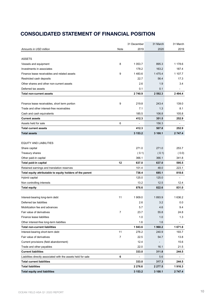# **CONSOLIDATED STATEMENT OF FINANCIAL POSITION**

|                                                                                  |      | 31 December | 31 March | 31 March       |
|----------------------------------------------------------------------------------|------|-------------|----------|----------------|
| Amounts in USD million                                                           | Note | 2019        | 2020     | 2019           |
|                                                                                  |      |             |          |                |
| <b>ASSETS</b>                                                                    |      |             |          |                |
| Vessels and equipment                                                            | 8    | 1 0 5 3.7   | 895.3    | 1 178.6        |
| Investments in associates                                                        |      | 178.2       | 163.2    | 187.4          |
| Finance lease receivables and related assets                                     | 9    | 1483.6      | 1 475.4  | 1 107.7        |
| Restricted cash deposits                                                         |      | 22.7        | 56.4     | 17.3           |
| Other shares and other non-current assets                                        |      | 2.6         | 1.9      | 3.4            |
| Deferred tax assets                                                              |      | 0.1         | 0.1      |                |
| <b>Total non-current assets</b>                                                  |      | 2740.9      | 2 592.3  | 2 4 9 4.4      |
|                                                                                  |      |             |          |                |
| Finance lease receivables, short term portion                                    | 9    | 219.8       | 243.4    | 139.0          |
| Trade and other interest-free receivables                                        |      | 7.1         | 1.3      | 8.1            |
| Cash and cash equivalents                                                        |      | 185.5       | 106.8    | 105.8          |
| <b>Current assets</b>                                                            |      | 412.3       | 351.5    | 252.9          |
| Assets held for sale                                                             | 6    |             | 156.3    |                |
| <b>Total current assets</b>                                                      |      | 412.3       | 507.8    | 252.9          |
| <b>Total assets</b>                                                              |      | 3 153.2     | 3 100.1  | 2 747.4        |
|                                                                                  |      |             |          |                |
| <b>EQUITY AND LIABILITIES</b>                                                    |      |             |          |                |
| Share capital                                                                    |      | 271.0       | 271.0    | 253.7          |
| Treasury shares                                                                  |      | (0.1)       | (0.1)    | (0.0)          |
| Other paid-in capital                                                            |      | 366.1       | 366.1    | 341.8          |
| Total paid-in capital                                                            | 12   | 637.0       | 637.0    | 595.5          |
| Retained earnings and translation reserves                                       |      | 101.4       | 48.0     | 223.1          |
| Total equity attributable to equity holders of the parent                        |      | 738.4       | 685.1    | 818.6          |
| Hybrid capital                                                                   |      | 125.0       | 125.0    | $\blacksquare$ |
| Non controlling interests                                                        |      | 13.2        | 12.5     | 12.4           |
| <b>Total equity</b>                                                              |      | 876.6       | 822.6    | 831.0          |
|                                                                                  |      |             |          |                |
| Interest-bearing long-term debt                                                  | 11   | 1 909.0     | 1893.9   | 1 636.2        |
| Deferred tax liabilities                                                         |      | 2.6         | 3.2      | 0.0            |
| Mobilization fee and advances                                                    |      | 5.7         | 4.6      | 9.4            |
| Fair value of derivatives                                                        | 7    | 23.7        | 55.8     | 24.8           |
| Finance lease liabilities                                                        |      |             |          |                |
|                                                                                  |      | 1.0         | 1.0      | 1.3            |
| Other interest-free long-term liabilties<br><b>Total non-current liabilities</b> |      | 1.6         | 1.6      | ۰              |
|                                                                                  |      | 1943.6      | 1960.2   | 1 671.8        |
| Interest-bearing short-term debt                                                 | 11   | 276.2       | 240.9    | 193.7          |
| Fair value of derivatives                                                        | 7    | 22.5        | 54.7     | 13.8           |
| Current provisions (field abandonment)                                           |      | 12.4        |          | 15.6           |
| Trade and other payables                                                         |      | 22.0        | 16.1     | 21.5           |
| <b>Current liabilities</b>                                                       |      | 333.0       | 311.8    | 244.5          |
| Liabilities directly associated with the assets held for sale                    | 6    |             | 5.6      |                |
| <b>Total current liabilities</b>                                                 |      | 333.0       | 317.3    | 244.5          |
| <b>Total liabilities</b>                                                         |      | 2 2 7 6.6   | 2 277.5  | 1916.3         |
| <b>Total equity and liabilities</b>                                              |      | 3 153.2     | 3 100.1  | 2 747.4        |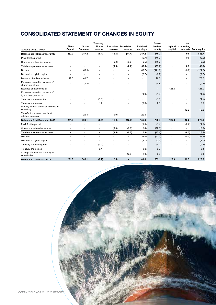# **CONSOLIDATED STATEMENT OF CHANGES IN EQUITY**

| Amounts in USD million                                                        | Share<br>Capital         | Share<br>Premium | <b>Treasury</b><br><b>Shares</b><br>reserve | Fair value<br>reserve    | <b>Translation</b><br>reserve | Retained<br>earnings    | Share-<br>holders<br>equity | Hybrid<br>capital        | Non<br>controlling | interests Total equity |
|-------------------------------------------------------------------------------|--------------------------|------------------|---------------------------------------------|--------------------------|-------------------------------|-------------------------|-----------------------------|--------------------------|--------------------|------------------------|
| Balance at 31st December 2018                                                 | 253.7                    | 387.4            | (0.1)                                       | (11.1)                   | (41.4)                        | 257.2                   | 845.7                       | $\overline{\phantom{a}}$ | 0.0                | 845.7                  |
| Profit for the period                                                         |                          |                  |                                             |                          | ÷,                            | (40.7)                  | (40.7)                      | $\overline{\phantom{a}}$ | 0.9                | (39.9)                 |
| Other comprehensive income                                                    |                          |                  | ٠                                           | (0.8)                    | (0.6)                         | (15.6)                  | (16.9)                      | $\overline{\phantom{a}}$ | $\blacksquare$     | (16.9)                 |
| <b>Total comprehensive income</b>                                             | $\overline{\phantom{a}}$ | $\blacksquare$   | $\blacksquare$                              | (0.8)                    | (0.6)                         | (56.3)                  | (57.7)                      | $\overline{\phantom{a}}$ | 0.9                | (56.8)                 |
| Dividend                                                                      | ÷.                       | (60.9)           |                                             |                          | ÷.                            | (60.7)                  | (121.6)                     | $\ddot{\phantom{1}}$     | (0.0)              | (121.6)                |
| Dividend on hybrid capital                                                    | $\overline{\phantom{a}}$ |                  |                                             |                          |                               | (2.7)                   | (2.7)                       |                          |                    | (2.7)                  |
| Issuance of ordinary shares                                                   | 17.3                     | 60.7             |                                             |                          |                               |                         | 78.0                        |                          |                    | 78.0                   |
| Expenses related to issuance of<br>shares, net of tax                         |                          | (0.8)            |                                             |                          |                               | $\ddot{\phantom{1}}$    | (0.8)                       |                          | ٠                  | (0.8)                  |
| Issuance of hybrid capital                                                    |                          |                  |                                             |                          |                               | $\blacksquare$          | $\overline{\phantom{a}}$    | 125.0                    | ٠                  | 125.0                  |
| Expenses related to issuance of<br>hybrid bond, net of tax                    |                          |                  |                                             |                          |                               | (1.9)                   | (1.9)                       |                          | ٠                  | (1.9)                  |
| Treasury shares acquired                                                      |                          |                  | (1.5)                                       |                          |                               |                         | (1.5)                       |                          |                    | (1.5)                  |
| Treasury shares sold<br>Minority's share of capital increase in<br>subsidiary |                          |                  | 1.2                                         |                          |                               | (0.3)<br>$\blacksquare$ | 0.9<br>$\blacksquare$       |                          | 12.2               | 0.9<br>12.2            |
| Transfer from share premium to<br>retained earnings                           |                          | (20.3)           |                                             | (0.0)                    |                               | 20.4                    | $\overline{\phantom{a}}$    |                          | $\blacksquare$     |                        |
| <b>Balance at 31st December 2019</b>                                          | 271.0                    | 366.1            | (0.4)                                       | (11.9)                   | (42.0)                        | 155.6                   | 738.4                       | 125.0                    | 13.2               | 876.6                  |
| Profit for the period                                                         |                          |                  |                                             | $\overline{\phantom{a}}$ | ٠                             | (1.4)                   | (1.4)                       |                          | (0.2)              | (1.6)                  |
| Other comprehensive income                                                    | ٠                        |                  | ٠                                           | (0.5)                    | (0.0)                         | (15.4)                  | (16.0)                      | $\overline{\phantom{a}}$ | ä,                 | (16.0)                 |
| Total comprehensive income                                                    | $\blacksquare$           |                  | $\blacksquare$                              | (0.5)                    | (0.0)                         | (16.8)                  | (17.4)                      | $\blacksquare$           | (0.2)              | (17.6)                 |
| Dividend                                                                      |                          |                  |                                             |                          |                               | (33.4)                  | (33.4)                      |                          | (0.5)              | (33.9)                 |
| Dividend on hybrid capital                                                    |                          |                  |                                             |                          | $\blacksquare$                | (2.7)                   | (2.7)                       |                          | ٠                  | (2.7)                  |
| Treasury shares acquired                                                      |                          |                  | (0.2)                                       |                          | ä,                            | $\blacksquare$          | (0.2)                       |                          | ٠                  | (0.2)                  |
| Treasury shares sold                                                          |                          |                  | 0.4                                         |                          |                               | (0.2)                   | 0.3                         |                          |                    | 0.3                    |
| Change of functional currency in<br>subsidiaries                              |                          |                  |                                             |                          | 42.0                          | (42.0)                  | 0.0                         |                          |                    | 0.0                    |
| Balance at 31st March 2020                                                    | 271.0                    | 366.1            | (0.2)                                       | (12.5)                   | $\blacksquare$                | 60.6                    | 685.1                       | 125.0                    | 12.5               | 822.6                  |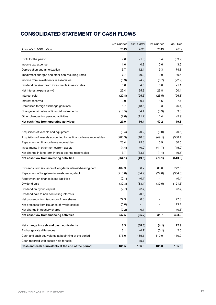# **CONSOLIDATED STATEMENT OF CASH FLOWS**

|                                                                   | 4th Quarter | 1st Quarter | 1st Quarter | Jan - Dec |
|-------------------------------------------------------------------|-------------|-------------|-------------|-----------|
| Amounts in USD million                                            | 2019        | 2020        | 2019        | 2019      |
|                                                                   |             |             |             |           |
| Profit for the period                                             | 9.6         | (1.6)       | 8.4         | (39.9)    |
| Income tax expense                                                | 1.0         | 0.9         | 0.6         | 3.5       |
| Depreciation and amortization                                     | 16.7        | 12.4        | 19.3        | 74.3      |
| Impairment charges and other non-recurring items                  | 7.7         | (0.0)       | 0.0         | 80.6      |
| Income from investments in associates                             | (5.9)       | (4.9)       | (5.7)       | (22.9)    |
| Dividend received from investments in associates                  | 5.8         | 4.5         | 5.0         | 21.1      |
| Net interest expenses (+)                                         | 25.4        | 25.3        | 23.8        | 100.4     |
| Interest paid                                                     | (22.8)      | (25.6)      | (23.5)      | (96.3)    |
| Interest received                                                 | 0.9         | 0.7         | 1.6         | 7.4       |
| Unrealized foreign exchange gain/loss                             | 5.7         | (48.5)      | 3.3         | (6.1)     |
| Change in fair value of financial instruments                     | (13.5)      | 64.4        | (3.9)       | 3.6       |
| Other changes in operating activities                             | (2.6)       | (11.2)      | 11.4        | (5.9)     |
| Net cash flow from operating activities                           | 27.9        | 16.4        | 40.2        | 119.8     |
|                                                                   |             |             |             |           |
| Acquisition of vessels and equipment                              | (0.4)       | (0.2)       | (0.0)       | (0.5)     |
| Acquisition of vessels accounted for as finance lease receivables | (286.3)     | (40.8)      | (49.1)      | (568.4)   |
| Repayment on finance lease receivables                            | 23.4        | 25.3        | 15.9        | 80.5      |
| Investments in other non-current assets                           | (4.4)       | (0.0)       | (41.7)      | (45.9)    |
| Net change in long-term interest-bearing receivables              | 3.7         | (33.7)      | (1.1)       | (6.5)     |
| Net cash flow from investing activities                           | (264.1)     | (49.5)      | (76.1)      | (540.8)   |
|                                                                   |             |             |             |           |
| Proceeds from issuance of long-term interest-bearing debt         | 409.3       | 86.2        | 86.8        | 772.8     |
| Repayment of long-term interest-bearing debt                      | (210.8)     | (84.9)      | (24.6)      | (354.0)   |
| Repayment on finance lease liabilities                            | (0.1)       | (0.1)       |             | (0.4)     |
| Dividend paid                                                     | (30.3)      | (33.4)      | (30.5)      | (121.6)   |
| Dividend on hybrid capital                                        | (2.7)       | (2.7)       |             | (2.7)     |
| Dividend paid to non-controlling interests                        |             | (0.5)       |             |           |
| Net proceeds from issuance of new shares                          | 77.3        | 0.0         |             | 77.3      |
| Net proceeds from issuance of hybrid capital                      | (0.0)       |             |             | 123.1     |
| Net change in treasury shares                                     | (0.2)       | 0.1         |             | (0.6)     |
| Net cash flow from financing activities                           | 242.5       | (35.2)      | 31.7        | 493.9     |
|                                                                   |             |             |             |           |
| Net change in cash and cash equivalents                           | 6.3         | (68.3)      | (4.1)       | 72.9      |
| Exchange rate differences                                         | 3.1         | (4.7)       | (0.1)       | 2.6       |
| Cash and cash equivalents at beginning of the period              | 176.0       | 185.5       | 110.0       | 110.0     |
| Cash reported with assets held for sale                           |             | (5.7)       |             |           |
| Cash and cash equivalents at the end of the period                | 185.5       | 106.8       | 105.8       | 185.5     |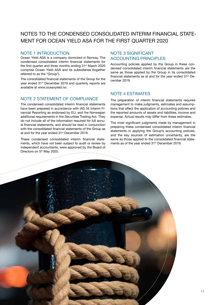# NOTES TO THE CONDENSED CONSOLIDATED INTERIM FINANCIAL STATE-MENT FOR OCEAN YIELD ASA FOR THE FIRST QUARTER 2020

### NOTE 1 INTRODUCTION

Ocean Yield ASA is a company domiciled in Norway. The condensed consolidated interim financial statements for the first quarter and three months ending 31<sup>st</sup> March 2020 comprise Ocean Yield ASA and its subsidiaries (together referred to as the "Group").

The consolidated financial statements of the Group for the year ended 31<sup>st</sup> December 2019 and quarterly reports are available at www.oceanyield.no.

### NOTE 2 STATEMENT OF COMPLIANCE

The condensed consolidated interim financial statements have been prepared in accordance with IAS 34 Interim Financial Reporting as endorsed by EU, and the Norwegian additional requirements in the Securities Trading Act. They do not include all of the information required for full annual financial statements, and should be read in conjunction with the consolidated financial statements of the Group as at and for the year ended 31<sup>st</sup> December 2019.

These condensed consolidated interim financial statements, which have not been subject to audit or review by independent accountants, were approved by the Board of Directors on 5<sup>th</sup> May 2020.

### NOTE 3 SIGNIFICANT ACCOUNTING PRINCIPLES

Accounting policies applied by the Group in these condensed consolidated interim financial statements are the same as those applied by the Group in its consolidated financial statements as at and for the year ended 31<sup>st</sup> December 2019.

### NOTE 4 ESTIMATES

The preparation of interim financial statements requires management to make judgments, estimates and assumptions that affect the application of accounting policies and the reported amounts of assets and liabilities, income and expense. Actual results may differ from these estimates.

The most significant judgments made by management in preparing these condensed consolidated interim financial statements in applying the Group's accounting policies, and the key sources of estimation uncertainty, are the same as those applied to the consolidated financial statements as of the year ended 31<sup>st</sup> December 2019.

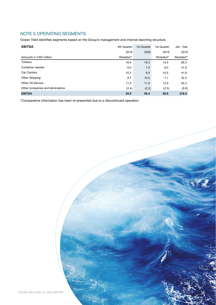## NOTE 5 OPERATING SEGMENTS

Ocean Yield identifies segments based on the Group's management and internal reporting structure.

| <b>EBITDA</b>                    | 4th Quarter | 1st Quarter | 1st Quarter | Jan - Dec |
|----------------------------------|-------------|-------------|-------------|-----------|
|                                  | 2019        | 2020        | 2019        | 2019      |
| Amounts in USD million           | Restated*   |             | Restated*   | Restated* |
| <b>Tankers</b>                   | 18.4        | 19.3        | 14.5        | 68.3      |
| <b>Container vessels</b>         | 8.0         | 7.0         | 8.0         | 31.8      |
| <b>Car Carriers</b>              | 10.2        | 9.9         | 10.5        | 41.6      |
| Other Shipping                   | 9.7         | 10.5        | 7.1         | 32.3      |
| Other Oil Service                | 11.9        | 11.9        | 12.9        | 54.2      |
| Other companies and eliminations | (2.4)       | (2.2)       | (2.5)       | (9.8)     |
| <b>EBITDA</b>                    | 55.9        | 56.4        | 50.6        | 218.4     |

\*Comparative information has been re-presented due to a discontinued operation

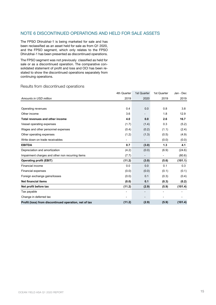### NOTE 6 DISCONTINUED OPERATIONS AND HELD FOR SALE ASSETS

The FPSO Dhirubhai-1 is being marketed for sale and has been reclassified as an asset held for sale as from Q1 2020, and the FPSO segment, which only relates to the FPSO Dhirubhai-1 has been presented as discontinued operations.

The FPSO segment was not previously classified as held for sale or as a discontinued operation. The comparative consolidated statement of profit and loss and OCI has been restated to show the discontinued operations separately from continuing operations.

#### Results from discontinued operations

|                                                       | 4th Quarter | 1st Quarter | 1st Quarter | Jan - Dec |
|-------------------------------------------------------|-------------|-------------|-------------|-----------|
| Amounts in USD million                                | 2019        | 2020        | 2019        | 2019      |
|                                                       |             |             |             |           |
| Operating revenues                                    | 0.4         | 0.0         | 0.8         | 3.8       |
| Other income                                          | 3.6         |             | 1.8         | 12.9      |
| Total revenues and other income                       | 4.0         | 0.0         | 2.6         | 16.7      |
| Vessel operating expenses                             | (1.7)       | (1.4)       | 0.3         | (5.2)     |
| Wages and other personnel expenses                    | (0.4)       | (0.2)       | (1.1)       | (2.4)     |
| Other operating expenses                              | (1.2)       | (1.3)       | (0.5)       | (4.9)     |
| Write down on trade receivables                       |             |             | (0.0)       | (0.0)     |
| <b>EBITDA</b>                                         | 0.7         | (3.0)       | 1.3         | 4.1       |
| Depreciation and amortization                         | (4.2)       | (0.0)       | (6.9)       | (24.6)    |
| Impairment charges and other non recurring items      | (7.7)       |             |             | (80.6)    |
| <b>Operating profit (EBIT)</b>                        | (11.2)      | (3.0)       | (5.6)       | (101.1)   |
| <b>Financial income</b>                               | 0.0         | 0.0         | 0.1         | 0.3       |
| <b>Financial expenses</b>                             | (0.0)       | (0.0)       | (0.1)       | (0.1)     |
| Foreign exchange gains/losses                         | (0.0)       | 0.1         | (0.3)       | (0.4)     |
| <b>Net financial items</b>                            | (0.0)       | 0.1         | (0.3)       | (0.2)     |
| Net profit before tax                                 | (11.2)      | (2.9)       | (5.9)       | (101.4)   |
| Tax payable                                           |             |             |             |           |
| Change in deferred tax                                |             |             |             |           |
| Profit (loss) from discontinued operation, net of tax | (11.2)      | (2.9)       | (5.9)       | (101.4)   |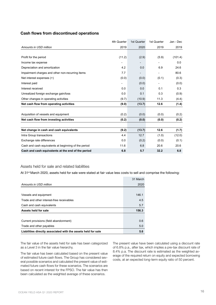#### **Cash flows from discontinued operations**

|                                                      | 4th Quarter | 1st Quarter | 1st Quarter | Jan - Dec |
|------------------------------------------------------|-------------|-------------|-------------|-----------|
| Amounts in USD million                               | 2019        | 2020        | 2019        | 2019      |
|                                                      |             |             |             |           |
| Profit for the period                                | (11.2)      | (2.9)       | (5.9)       | (101.4)   |
| Income tax expense                                   |             |             |             | 0.0       |
| Depreciation and amortization                        | 4.2         | 0.0         | 6.9         | 24.6      |
| Impairment charges and other non-recurring items     | 7.7         |             |             | 80.6      |
| Net interest expenses (+)                            | (0.0)       | (0.0)       | (0.1)       | (0.3)     |
| Interest paid                                        |             | (0.0)       |             | (0.0)     |
| Interest received                                    | 0.0         | 0.0         | 0.1         | 0.3       |
| Unrealized foreign exchange gain/loss                | 0.0         | 0.1         | 0.3         | (0.9)     |
| Other changes in operating activities                | (9.7)       | (10.9)      | 11.3        | (4.4)     |
| Net cash flow from operating activities              | (9.0)       | (13.7)      | 12.6        | (1.4)     |
|                                                      |             |             |             |           |
| Acquisition of vessels and equipment                 | (0.2)       | (0.0)       | (0.0)       | (0.2)     |
| Net cash flow from investing activities              | (0.2)       | (0.0)       | (0.0)       | (0.2)     |
|                                                      |             |             |             |           |
| Net change in cash and cash equivalents              | (9.2)       | (13.7)      | 12.6        | (1.7)     |
| Intra Group transactions                             | 4.4         | 12.7        | (1.0)       | (12.0)    |
| Exchange rate differences                            | 0.0         | (0.2)       | (0.0)       | (0.1)     |
| Cash and cash equivalents at beginning of the period | 11.6        | 6.8         | 20.6        | 20.6      |
| Cash and cash equivalents at the end of the period   | 6.8         | 5.7         | 32.2        | 6.8       |

### Assets held for sale and related liabilities

At 31st March 2020, assets held for sale were stated at fair value less costs to sell and comprise the following:

|                                                               | 31 March |
|---------------------------------------------------------------|----------|
| Amounts in USD million                                        | 2020     |
|                                                               |          |
| Vessels and equipment                                         | 146.1    |
| Trade and other interest-free receivables                     | 4.5      |
| Cash and cash equivalents                                     | 5.7      |
| Assets held for sale                                          | 156.3    |
|                                                               |          |
| Current provisions (field abandonment)                        | 0.6      |
| Trade and other payables                                      | 5.0      |
| Liabilities directly associated with the assets held for sale | 5.6      |

The fair value of the assets held for sale has been categorized as a Level 3 in the fair value hierarchy.

The fair value has been calculated based on the present value of estimated future cash flows. The Group has considered several possible scenarios and calculated the present value of estimated future cash flows for these scenarios. The scenarios are based on recent interest for the FPSO. The fair value has then been calculated as the weighted average of these scenarios.

The present value have been calculated using a discount rate of 6.8% p.a., after tax, which implies a pre-tax discount rate of 8.4% p.a. The discount rate is estimated as the weighted average of the required return on equity and expected borrowing costs, at an expected long-term equity ratio of 50 percent.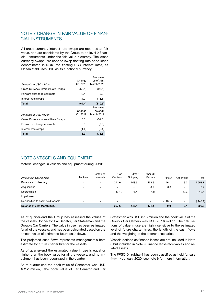### NOTE 7 CHANGE IN FAIR VALUE OF FINAN-CIAL INSTRUMENTS

All cross currency interest rate swaps are recorded at fair value, and are considered by the Group to be level 2 financial instruments under the fair value hierarchy. The cross currency swaps are used to swap floating rate bond loans denominated in NOK into floating USD interest rates, as Ocean Yield uses USD as its functional currency.

|                                           | Change            | Fair value<br>as of 31st             |
|-------------------------------------------|-------------------|--------------------------------------|
| Amounts in USD million                    | Q1 2020           | March 2020                           |
| Cross Currency Interest Rate Swaps        | (59.1)            | (98.1)                               |
| Forward exchange contracts                | (0.4)             | (0.9)                                |
| Interest rate swaps                       | (4.9)             | (11.5)                               |
| Total                                     | (64.4)            | (110.6)                              |
| Amounts in USD million                    | Change<br>Q1 2019 | Fair value<br>as of 31<br>March 2019 |
| <b>Cross Currency Interest Rate Swaps</b> | 5.0               | (32.5)                               |
| Forward exchange contracts                | 0.3               | (0.8)                                |
| Interest rate swaps                       | (1.4)             | (5.4)                                |
| Total                                     | 3.9               | (38.6)                               |

### NOTE 8 VESSELS AND EQUIPMENT

Material changes in vessels and equipment during 2020:

| Amounts in USD million              | Tankers                  | Container<br>vessels     | Car<br>Carriers | Other<br>Shipping        | Other Oil<br>Service     | <b>FPSO</b>              | Other/elim               | Total   |
|-------------------------------------|--------------------------|--------------------------|-----------------|--------------------------|--------------------------|--------------------------|--------------------------|---------|
| <b>Balance at 1 January</b>         | $\blacksquare$           | $\blacksquare$           | 271.0           | 148.5                    | 478.6                    | 146.1                    | 9.3                      | 1 053.7 |
| Acquisitions                        | -                        |                          |                 |                          | 0.2                      | 0.0                      | $\overline{\phantom{0}}$ | 0.2     |
| Depreciation                        | $\overline{\phantom{a}}$ | ۰                        | (3.4)           | (1.4)                    | (7.4)                    | $\blacksquare$           | (0.3)                    | 12.4)   |
| Impairment                          | -                        |                          |                 | -                        |                          | $\overline{\phantom{0}}$ | $\overline{\phantom{a}}$ |         |
| Reclassified to asset held for sale | $\overline{\phantom{a}}$ | $\overline{\phantom{0}}$ | ۰               | $\overline{\phantom{a}}$ | $\overline{\phantom{a}}$ | (146.1)                  | $\overline{\phantom{a}}$ | 146.1)  |
| <b>Balance at 31st March 2020</b>   | $\blacksquare$           | $\blacksquare$           | 267.6           | 147.1                    | 471.4                    | 0.0                      | 9.1                      | 895.3   |

As of quarter-end the Group has assessed the values of the vessels Connector, Far Senator, Far Statesman and the Group's Car Carriers. The value in use has been estimated for all of the vessels, and has been calculated based on the present value of estimated future cash flows.

The projected cash flows represents management's best estimate for future charter hire for the vessels.

As of quarter-end the estimated value in use is equal or higher than the book value for all the vessels, and no impairment has been recognized in the quarter.

As of quarter-end the book value of Connector was USD 182.2 million, the book value of Far Senator and Far

Statesman was USD 87.8 million and the book value of the Group's Car Carriers was USD 267.6 million. The calculations of value in use are highly sensitive to the estimated level of future charter hires, the length of the cash flows and the weighting of the different scenarios .

Vessels defined as finance leases are not included in Note 8 but included in Note 9 Finance lease receivables and related assets.

The FPSO Dhirubhai-1 has been classified as held for sale from 1<sup>st</sup> January 2020, see note 6 for more information.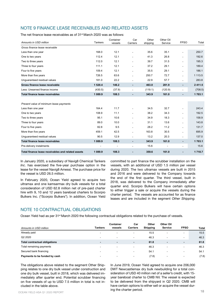## NOTE 9 FINANCE LEASE RECEIVABLES AND RELATED ASSETS

The net finance lease receivables as of 31<sup>st</sup> March 2020 was as follows:

| Amounts in USD million                             | Tankers   | Container<br>vessels | Car<br>Carriers          | Other<br>shipping | Other Oil<br>Service | <b>FPSO</b>              | Total      |
|----------------------------------------------------|-----------|----------------------|--------------------------|-------------------|----------------------|--------------------------|------------|
| Gross finance lease receivable                     |           |                      |                          |                   |                      |                          |            |
| Less than one year                                 | 168.0     | 12.1                 | ÷                        | 35.6              | 35.1                 | ٠                        | 250.7      |
| One to two years                                   | 112.4     | 12.1                 | $\blacksquare$           | 41.3              | 26.8                 | $\blacksquare$           | 192.6      |
| Two to three years                                 | 112.0     | 12.1                 | ۰                        | 39.7              | 31.5                 | $\blacksquare$           | 195.3      |
| Three to four years                                | 111.1     | 12.1                 | $\blacksquare$           | 37.2              | 29.1                 | $\overline{\phantom{a}}$ | 189.4      |
| Four to five years                                 | 109.4     | 12.1                 | $\blacksquare$           | 35.5              | 29.1                 | $\overline{\phantom{a}}$ | 186.1      |
| More than five years                               | 726.5     | 63.6                 | $\blacksquare$           | 250.7             | 72.7                 | $\blacksquare$           | 1 1 1 3 .5 |
| Unquaranteed residual values                       | 181.0     | 22.2                 |                          | 22.9              | 57.7                 | $\blacksquare$           | 283.8      |
| Gross finance lease receivable                     | 1 520.4   | 146.2                | $\blacksquare$           | 463.0             | 281.9                | $\blacksquare$           | 2 4 1 1.5  |
| Less: Unearned finance income                      | (430.5)   | (37.9)               | $\blacksquare$           | (119.1)           | (120.9)              | $\blacksquare$           | (708.5)    |
| <b>Total finance lease receivables</b>             | 1 089.9   | 108.3                | $\blacksquare$           | 343.9             | 161.0                | $\blacksquare$           | 1 703.1    |
|                                                    |           |                      |                          |                   |                      |                          |            |
| Present value of minimum lease payments            |           |                      |                          |                   |                      |                          |            |
| Less than one year                                 | 164.4     | 11.7                 | ÷.                       | 34.5              | 32.7                 | ÷                        | 243.4      |
| One to two years                                   | 108.9     | 11.1                 |                          | 38.2              | 34.3                 | $\blacksquare$           | 192.5      |
| Two to three years                                 | 95.1      | 10.6                 |                          | 34.9              | 18.3                 | $\blacksquare$           | 158.9      |
| Three to four years                                | 89.0      | 10.0                 |                          | 31.1              | 13.6                 | $\overline{\phantom{a}}$ | 143.8      |
| Four to five years                                 | 82.8      | 9.5                  |                          | 28.2              | 11.2                 | $\blacksquare$           | 131.7      |
| More than five years                               | 459.1     | 42.5                 |                          | 163.8             | 30.5                 | $\overline{\phantom{a}}$ | 695.9      |
| Unguaranteed residual values                       | 90.5      | 12.9                 |                          | 13.2              | 20.3                 | $\blacksquare$           | 137.0      |
| <b>Total finance lease receivables</b>             | 1 089.9   | 108.3                | $\blacksquare$           | 343.9             | 161.0                | $\blacksquare$           | 1 703.1    |
| Pre-delivery instalments                           |           | ٠                    | $\overline{\phantom{a}}$ | 15.6              |                      | $\blacksquare$           | 15.6       |
| Total finance lease receivables and related assets | 1 0 8 9.9 | 108.3                |                          | 359.6             | 161.0                | $\blacksquare$           | 1 7 1 8.7  |

In January 2020, a subsidiary of Navig8 Chemical Tankers *Inc*. has exercised the five-year purchase option in the lease for the vessel Navig8 Amessi. The purchase price for the vessel is USD 26.5 million.

In February 2020, Ocean Yield agreed to acquire two ultramax and one kamsarmax dry bulk vessels for a total consideration of USD 62.8 million net of pre-paid charter hire with 9, 10 and 12 years bareboat charters to Scorpio Bulkers Inc. ("Scorpio Bulkers"). In addition, Ocean Yield committed to part finance the scrubber installation on the vessels, with an additional of USD 1.5 million per vessel during 2020. The two ultramax vessels are built in 2015 and 2016 and were delivered to the Company towards the end of the first quarter. The third vessel, built in 2018, was delivered to the Company immediately after quarter end. Scorpio Bulkers will have certain options to either trigger a sale or acquire the vessels during the charter period. The vessels are accounted for as finance leases and are included in the segment *Other Shipping.* 

### NOTE 10 CONTRACTUAL OBLIGATIONS

Ocean Yield had as per 31st March 2020 the following contractual obligations related to the purchase of vessels.

| Amounts in USD million               | <b>Tankers</b>           | <b>Container</b><br>vessels | Car<br><b>Carriers</b>   | Other<br>Shipping | Other Oil<br>Service     | <b>FPSO</b>              | Total |
|--------------------------------------|--------------------------|-----------------------------|--------------------------|-------------------|--------------------------|--------------------------|-------|
|                                      |                          |                             |                          |                   |                          |                          |       |
| Already paid                         | $\overline{\phantom{a}}$ | -                           | $\overline{\phantom{a}}$ | 15.5              | -                        |                          | 15.5  |
| Q2 2020                              | $\overline{\phantom{a}}$ | $\sim$                      | $\overline{\phantom{a}}$ | 46.3              | ۰.                       | $\overline{\phantom{a}}$ | 46.3  |
| <b>Total contractual obligations</b> | $\blacksquare$           | $\blacksquare$              | $\blacksquare$           | 61.8              | $\blacksquare$           | $\blacksquare$           | 61.8  |
| Total remaining payments             | $\overline{\phantom{a}}$ | -                           | ٠                        | 46.3              | -                        | -                        | 46.3  |
| Secured bank financing               | $\overline{\phantom{a}}$ | -                           | -                        | 54.1              | -                        |                          | 54.1  |
| Payments to be funded by cash        | $\overline{\phantom{a}}$ | -                           |                          | (7.8)             | $\overline{\phantom{a}}$ |                          | (7.8) |

The obligations above related to the segment Other Shipping relates to one dry bulk vessel under construction and one dry bulk vessel, built in 2018, which was delivered immediately after quarter end. Potential scrubber financing on five vessels of up to USD 7.5 million in total is not included in the table above.

OCEAN YIELD ASA 01.2020 REPORT **18 18 COLLECT CONTROL TO A SAMPLE PRIOR 18** In June 2019, Ocean Yield agreed to acquire one 206,000 DWT Newcastlemax dry bulk newbuilding for a total consideration of USD 40 million net of a seller's credit, with 15 year bareboat charter to CMB NV. The vessel is expected to be delivered from the shipyard in Q2 2020. CMB will have certain options to either sell or acquire the vessel during the charter period.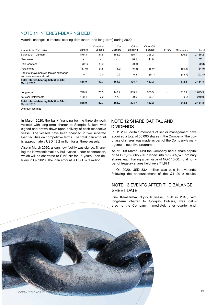### NOTE 11 INTEREST-BEARING DEBT

Material changes in interest-bearing debt (short- and long-term) during 2020:

| Amounts in USD million                                              | Tankers                  | Container<br>vessels     | Car<br>Carriers          | Other<br>Shipping | Other Oil<br>Service     | <b>FPSO</b>              | Other/elim | Total   |
|---------------------------------------------------------------------|--------------------------|--------------------------|--------------------------|-------------------|--------------------------|--------------------------|------------|---------|
| Balance at 1 January                                                | 875.3                    | 84.5                     | 168.2                    | 355.7             | 395.2                    |                          | 306.2      | 2 185.2 |
| New loans                                                           | $\overline{\phantom{a}}$ | ۰                        | $\overline{\phantom{a}}$ | 46.1              | 41.0                     |                          |            | 87.1    |
| Paid loan fees                                                      | (0.1)                    | (0.0)                    | $\overline{\phantom{a}}$ | (0.8)             | $\overline{\phantom{a}}$ |                          |            | (0.8)   |
| Instalments                                                         | (17.0)                   | (1.8)                    | (4.2)                    | (6.5)             | (5.0)                    | $\overline{\phantom{0}}$ | (50.4)     | (84.9)  |
| Effect of movements in foreign exchange<br>and loan fees amortized  | 0.7                      | 0.0                      | 0.2                      | 0.2               | (9.1)                    | $\blacksquare$           | (43.7)     | (52.4)  |
| Total interest-bearing liabilities 31st<br><b>March 2020</b>        | 858.9                    | 82.7                     | 164.2                    | 394.7             | 422.2                    | ٠                        | 212.1      | 2 134.8 |
|                                                                     |                          |                          |                          |                   |                          |                          |            |         |
| Long-term                                                           | 728.5                    | 75.5                     | 147.2                    | 365.1             | 365.5                    | ۰                        | 212.1      | 1893.9  |
| 1st year instalments                                                | 130.4                    | 7.2                      | 17.0                     | 29.6              | 56.7                     | $\overline{\phantom{a}}$ | (0.0)      | 240.9   |
| <b>Total interest-bearing liabilities 31st</b><br><b>March 2020</b> | 858.9                    | 82.7                     | 164.2                    | 394.7             | 422.2                    | ٠                        | 212.1      | 2 134.8 |
| Undrawn facilities                                                  |                          | $\overline{\phantom{a}}$ |                          |                   |                          | ÷.                       |            |         |

In March 2020, the bank financing for the three dry-bulk vessels with long-term charter to Scorpio Bulkers was signed and drawn-down upon delivery of each respective vessel. The vessels have been financed in two separate loan facilities on competitive terms. The total loan amount is approximately USD 48.2 million for all three vessels.

Also in March 2020, a loan new facility was signed, financing the Newcastlemax dry bulk vessel under construction, which will be chartered to CMB NV for 15-years upon delivery in Q2 2020. The loan amount is USD 37.1 million.

### NOTE 12 SHARE CAPITAL AND DIVIDENDS

In Q1 2020 certain members of senior management have acquired a total of 60,000 shares in the Company. The purchase of shares was made as part of the Company's management incentive program.

As of 31st March 2020 the Company had a share capital of NOK 1,752,865,750 divided into 175,285,575 ordinary shares, each having a par value of NOK 10.00. Total number of treasury shares held were 71,871.

In Q1 2020, USD 33.4 million was paid in dividends, following the announcement of the Q4 2019 results.

### NOTE 13 EVENTS AFTER THE BALANCE SHEET DATE

One Kamsarmax dry-bulk vessel, built in 2018, with long-term charter to Scorpio Bulkers, was delivered to the Company immediately after quarter end.

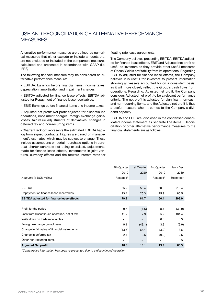# USE AND RECONCILIATION OF ALTERNATIVE PERFORMANCE MEASURES

Alternative performance measures are defined as numerical measures that either exclude or include amounts that are not excluded or included in the comparable measures calculated and presented in accordance with GAAP (i.e. IFRS).

The following financial measure may be considered an alternative performance measure:

- EBITDA: Earnings before financial items, income taxes, depreciation, amortization and impairment charges.

- EBITDA adjusted for finance lease effects: EBITDA adjusted for Repayment of finance lease receivables.

- EBIT: Earnings before financial items and income taxes.

- Adjusted net profit: Net profit adjusted for discontinued operations, impairment charges, foreign exchange gains/ losses, fair value adjustments of derivatives, changes in deferred tax and non-recurring items.

- Charter Backlog: represents the estimated EBITDA backlog from signed contracts. Figures are based on management's estimates which may be subject to change. These include assumptions on certain purchase options in bareboat charter contracts not being exercised, adjustments made for finance lease effects, investments in joint ventures, currency effects and the forward interest rates for floating rate lease agreements.

The Company believes presenting EBITDA, EBITDA adjusted for finance lease effects, EBIT and Adjusted net profit as useful to investors as they provide other useful measures of Ocean Yield's profitability from its operations. Regarding EBITDA adjusted for finance lease effects, the Company believes it is useful for investors to present information showing all vessels accounted for on a consistent basis, as it will more closely reflect the Group's cash flows from operations. Regarding, Adjusted net profit, the Company considers Adjusted net profit to be a relevant performance criteria. The net profit is adjusted for significant non-cash and non-recurring items, and the Adjusted net profit is thus a useful measure when it comes to the Company's dividend capacity.

EBITDA and EBIT are disclosed in the condensed consolidated income statement as separate line items. Reconciliation of other alternative performance measures to the financial statements are as follows:

|                                                  | 4th Quarter | 1st Quarter    | 1st Quarter | Jan - Dec |
|--------------------------------------------------|-------------|----------------|-------------|-----------|
|                                                  | 2019        | 2020           | 2019        | 2019      |
| Amounts in USD million                           | Restated*   |                | Restated*   | Restated* |
|                                                  |             |                |             |           |
| <b>EBITDA</b>                                    | 55.9        | 56.4           | 50.6        | 218.4     |
| Repayment on finance lease receivables           | 23.4        | 25.3           | 15.9        | 80.5      |
| <b>EBITDA adjusted for finance lease effects</b> | 79.2        | 81.7           | 66.4        | 298.9     |
|                                                  |             |                |             |           |
| Profit for the period                            | 9.6         | (1.6)          | 8.4         | (39.9)    |
| Loss from discontinued operation, net of tax     | 11.2        | 2.9            | 5.9         | 101.4     |
| Write down on trade receivables                  |             |                | 0.3         | 0.3       |
| Foreign exchange gains/losses                    | 9.1         | (48.1)         | 3.2         | (2.0)     |
| Change in fair value of financial instruments    | (13.5)      | 64.4           | (3.9)       | 3.6       |
| Change in deferred tax                           | 2.4         | 0.5            | (0.0)       | 2.5       |
| Other non-recurring items                        |             | $\blacksquare$ |             | 0.5       |
| <b>Adjusted Net profit</b>                       | 18.8        | 18.1           | 13.9        | 66.3      |

*\*Comparative information has been re-presented due to a discontinued operation*